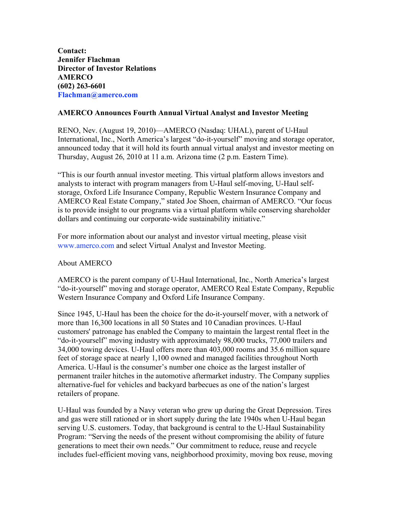**Contact: Jennifer Flachman Director of Investor Relations AMERCO (602) 263-6601 Flachman@amerco.com**

## **AMERCO Announces Fourth Annual Virtual Analyst and Investor Meeting**

RENO, Nev. (August 19, 2010)—AMERCO (Nasdaq: UHAL), parent of U-Haul International, Inc., North America's largest "do-it-yourself" moving and storage operator, announced today that it will hold its fourth annual virtual analyst and investor meeting on Thursday, August 26, 2010 at 11 a.m. Arizona time (2 p.m. Eastern Time).

"This is our fourth annual investor meeting. This virtual platform allows investors and analysts to interact with program managers from U-Haul self-moving, U-Haul selfstorage, Oxford Life Insurance Company, Republic Western Insurance Company and AMERCO Real Estate Company," stated Joe Shoen, chairman of AMERCO. "Our focus is to provide insight to our programs via a virtual platform while conserving shareholder dollars and continuing our corporate-wide sustainability initiative."

For more information about our analyst and investor virtual meeting, please visit www.amerco.com and select Virtual Analyst and Investor Meeting.

## About AMERCO

AMERCO is the parent company of U-Haul International, Inc., North America's largest "do-it-yourself" moving and storage operator, AMERCO Real Estate Company, Republic Western Insurance Company and Oxford Life Insurance Company.

Since 1945, U-Haul has been the choice for the do-it-yourself mover, with a network of more than 16,300 locations in all 50 States and 10 Canadian provinces. U-Haul customers' patronage has enabled the Company to maintain the largest rental fleet in the "do-it-yourself" moving industry with approximately 98,000 trucks, 77,000 trailers and 34,000 towing devices. U-Haul offers more than 403,000 rooms and 35.6 million square feet of storage space at nearly 1,100 owned and managed facilities throughout North America. U-Haul is the consumer's number one choice as the largest installer of permanent trailer hitches in the automotive aftermarket industry. The Company supplies alternative-fuel for vehicles and backyard barbecues as one of the nation's largest retailers of propane.

U-Haul was founded by a Navy veteran who grew up during the Great Depression. Tires and gas were still rationed or in short supply during the late 1940s when U-Haul began serving U.S. customers. Today, that background is central to the U-Haul Sustainability Program: "Serving the needs of the present without compromising the ability of future generations to meet their own needs." Our commitment to reduce, reuse and recycle includes fuel-efficient moving vans, neighborhood proximity, moving box reuse, moving